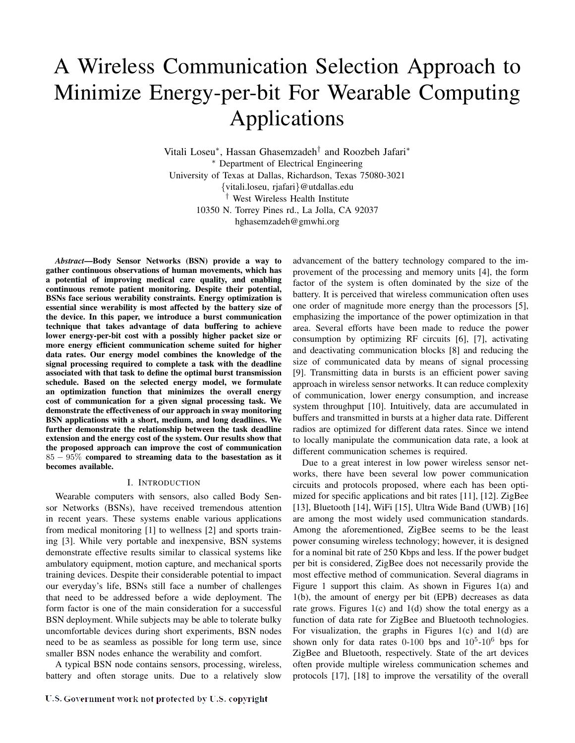# A Wireless Communication Selection Approach to Minimize Energy-per-bit For Wearable Computing Applications

Vitali Loseu<sup>∗</sup> , Hassan Ghasemzadeh† and Roozbeh Jafari<sup>∗</sup> <sup>∗</sup> Department of Electrical Engineering University of Texas at Dallas, Richardson, Texas 75080-3021 {vitali.loseu, rjafari}@utdallas.edu † West Wireless Health Institute 10350 N. Torrey Pines rd., La Jolla, CA 92037 hghasemzadeh@gmwhi.org

*Abstract*—Body Sensor Networks (BSN) provide a way to gather continuous observations of human movements, which has a potential of improving medical care quality, and enabling continuous remote patient monitoring. Despite their potential, BSNs face serious werability constraints. Energy optimization is essential since werability is most affected by the battery size of the device. In this paper, we introduce a burst communication technique that takes advantage of data buffering to achieve lower energy-per-bit cost with a possibly higher packet size or more energy efficient communication scheme suited for higher data rates. Our energy model combines the knowledge of the signal processing required to complete a task with the deadline associated with that task to define the optimal burst transmission schedule. Based on the selected energy model, we formulate an optimization function that minimizes the overall energy cost of communication for a given signal processing task. We demonstrate the effectiveness of our approach in sway monitoring BSN applications with a short, medium, and long deadlines. We further demonstrate the relationship between the task deadline extension and the energy cost of the system. Our results show that the proposed approach can improve the cost of communication 85 − 95% compared to streaming data to the basestation as it becomes available.

## I. INTRODUCTION

Wearable computers with sensors, also called Body Sensor Networks (BSNs), have received tremendous attention in recent years. These systems enable various applications from medical monitoring [1] to wellness [2] and sports training [3]. While very portable and inexpensive, BSN systems demonstrate effective results similar to classical systems like ambulatory equipment, motion capture, and mechanical sports training devices. Despite their considerable potential to impact our everyday's life, BSNs still face a number of challenges that need to be addressed before a wide deployment. The form factor is one of the main consideration for a successful BSN deployment. While subjects may be able to tolerate bulky uncomfortable devices during short experiments, BSN nodes need to be as seamless as possible for long term use, since smaller BSN nodes enhance the werability and comfort.

A typical BSN node contains sensors, processing, wireless, battery and often storage units. Due to a relatively slow advancement of the battery technology compared to the improvement of the processing and memory units [4], the form factor of the system is often dominated by the size of the battery. It is perceived that wireless communication often uses one order of magnitude more energy than the processors [5], emphasizing the importance of the power optimization in that area. Several efforts have been made to reduce the power consumption by optimizing RF circuits [6], [7], activating and deactivating communication blocks [8] and reducing the size of communicated data by means of signal processing [9]. Transmitting data in bursts is an efficient power saving approach in wireless sensor networks. It can reduce complexity of communication, lower energy consumption, and increase system throughput [10]. Intuitively, data are accumulated in buffers and transmitted in bursts at a higher data rate. Different radios are optimized for different data rates. Since we intend to locally manipulate the communication data rate, a look at different communication schemes is required.

Due to a great interest in low power wireless sensor networks, there have been several low power communication circuits and protocols proposed, where each has been optimized for specific applications and bit rates [11], [12]. ZigBee [13], Bluetooth [14], WiFi [15], Ultra Wide Band (UWB) [16] are among the most widely used communication standards. Among the aforementioned, ZigBee seems to be the least power consuming wireless technology; however, it is designed for a nominal bit rate of 250 Kbps and less. If the power budget per bit is considered, ZigBee does not necessarily provide the most effective method of communication. Several diagrams in Figure 1 support this claim. As shown in Figures 1(a) and 1(b), the amount of energy per bit (EPB) decreases as data rate grows. Figures  $1(c)$  and  $1(d)$  show the total energy as a function of data rate for ZigBee and Bluetooth technologies. For visualization, the graphs in Figures 1(c) and 1(d) are shown only for data rates  $0-100$  bps and  $10^5-10^6$  bps for ZigBee and Bluetooth, respectively. State of the art devices often provide multiple wireless communication schemes and protocols [17], [18] to improve the versatility of the overall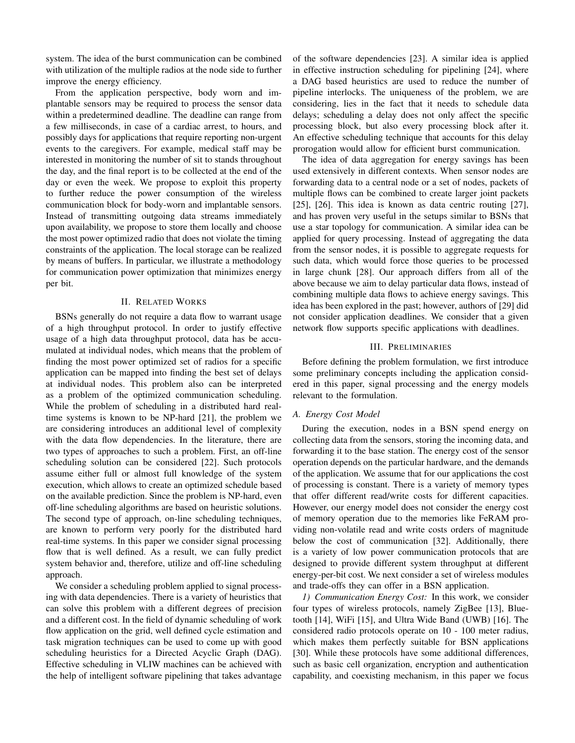system. The idea of the burst communication can be combined with utilization of the multiple radios at the node side to further improve the energy efficiency.

From the application perspective, body worn and implantable sensors may be required to process the sensor data within a predetermined deadline. The deadline can range from a few milliseconds, in case of a cardiac arrest, to hours, and possibly days for applications that require reporting non-urgent events to the caregivers. For example, medical staff may be interested in monitoring the number of sit to stands throughout the day, and the final report is to be collected at the end of the day or even the week. We propose to exploit this property to further reduce the power consumption of the wireless communication block for body-worn and implantable sensors. Instead of transmitting outgoing data streams immediately upon availability, we propose to store them locally and choose the most power optimized radio that does not violate the timing constraints of the application. The local storage can be realized by means of buffers. In particular, we illustrate a methodology for communication power optimization that minimizes energy per bit.

## II. RELATED WORKS

BSNs generally do not require a data flow to warrant usage of a high throughput protocol. In order to justify effective usage of a high data throughput protocol, data has be accumulated at individual nodes, which means that the problem of finding the most power optimized set of radios for a specific application can be mapped into finding the best set of delays at individual nodes. This problem also can be interpreted as a problem of the optimized communication scheduling. While the problem of scheduling in a distributed hard realtime systems is known to be NP-hard [21], the problem we are considering introduces an additional level of complexity with the data flow dependencies. In the literature, there are two types of approaches to such a problem. First, an off-line scheduling solution can be considered [22]. Such protocols assume either full or almost full knowledge of the system execution, which allows to create an optimized schedule based on the available prediction. Since the problem is NP-hard, even off-line scheduling algorithms are based on heuristic solutions. The second type of approach, on-line scheduling techniques, are known to perform very poorly for the distributed hard real-time systems. In this paper we consider signal processing flow that is well defined. As a result, we can fully predict system behavior and, therefore, utilize and off-line scheduling approach.

We consider a scheduling problem applied to signal processing with data dependencies. There is a variety of heuristics that can solve this problem with a different degrees of precision and a different cost. In the field of dynamic scheduling of work flow application on the grid, well defined cycle estimation and task migration techniques can be used to come up with good scheduling heuristics for a Directed Acyclic Graph (DAG). Effective scheduling in VLIW machines can be achieved with the help of intelligent software pipelining that takes advantage of the software dependencies [23]. A similar idea is applied in effective instruction scheduling for pipelining [24], where a DAG based heuristics are used to reduce the number of pipeline interlocks. The uniqueness of the problem, we are considering, lies in the fact that it needs to schedule data delays; scheduling a delay does not only affect the specific processing block, but also every processing block after it. An effective scheduling technique that accounts for this delay prorogation would allow for efficient burst communication.

The idea of data aggregation for energy savings has been used extensively in different contexts. When sensor nodes are forwarding data to a central node or a set of nodes, packets of multiple flows can be combined to create larger joint packets [25], [26]. This idea is known as data centric routing [27], and has proven very useful in the setups similar to BSNs that use a star topology for communication. A similar idea can be applied for query processing. Instead of aggregating the data from the sensor nodes, it is possible to aggregate requests for such data, which would force those queries to be processed in large chunk [28]. Our approach differs from all of the above because we aim to delay particular data flows, instead of combining multiple data flows to achieve energy savings. This idea has been explored in the past; however, authors of [29] did not consider application deadlines. We consider that a given network flow supports specific applications with deadlines.

## III. PRELIMINARIES

Before defining the problem formulation, we first introduce some preliminary concepts including the application considered in this paper, signal processing and the energy models relevant to the formulation.

## *A. Energy Cost Model*

During the execution, nodes in a BSN spend energy on collecting data from the sensors, storing the incoming data, and forwarding it to the base station. The energy cost of the sensor operation depends on the particular hardware, and the demands of the application. We assume that for our applications the cost of processing is constant. There is a variety of memory types that offer different read/write costs for different capacities. However, our energy model does not consider the energy cost of memory operation due to the memories like FeRAM providing non-volatile read and write costs orders of magnitude below the cost of communication [32]. Additionally, there is a variety of low power communication protocols that are designed to provide different system throughput at different energy-per-bit cost. We next consider a set of wireless modules and trade-offs they can offer in a BSN application.

*1) Communication Energy Cost:* In this work, we consider four types of wireless protocols, namely ZigBee [13], Bluetooth [14], WiFi [15], and Ultra Wide Band (UWB) [16]. The considered radio protocols operate on 10 - 100 meter radius, which makes them perfectly suitable for BSN applications [30]. While these protocols have some additional differences, such as basic cell organization, encryption and authentication capability, and coexisting mechanism, in this paper we focus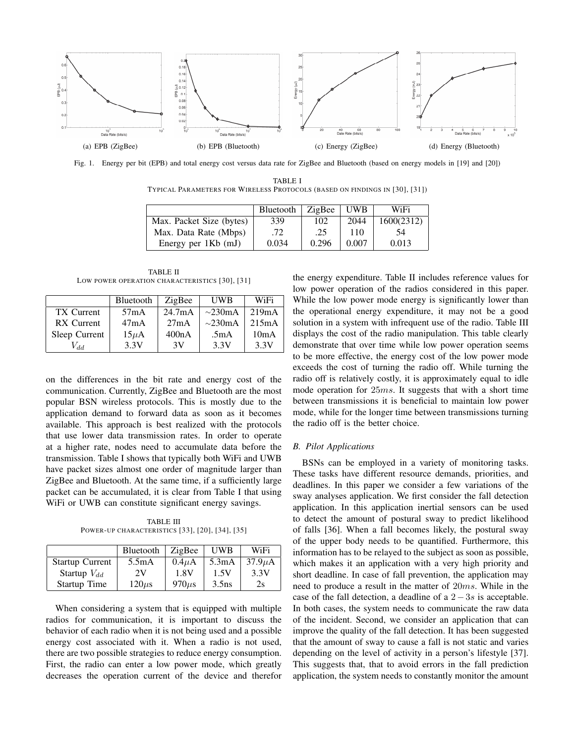

Fig. 1. Energy per bit (EPB) and total energy cost versus data rate for ZigBee and Bluetooth (based on energy models in [19] and [20])

TABLE I TYPICAL PARAMETERS FOR WIRELESS PROTOCOLS (BASED ON FINDINGS IN [30], [31])

|                          | Bluetooth | ZigBee | <b>UWB</b> | WiFi       |
|--------------------------|-----------|--------|------------|------------|
| Max. Packet Size (bytes) | 339       | 102    | 2044       | 1600(2312) |
| Max. Data Rate (Mbps)    | .72       | .25    | 110        | 54         |
| Energy per $1Kb$ (mJ)    | 0.034     | 0.296  | 0.007      | 0.013      |

TABLE II LOW POWER OPERATION CHARACTERISTICS [30], [31]

|                   | Bluetooth | ZigBee | <b>UWB</b>   | WiFi  |
|-------------------|-----------|--------|--------------|-------|
| <b>TX</b> Current | 57mA      | 24.7mA | $\sim$ 230mA | 219mA |
| <b>RX</b> Current | 47mA      | 27mA   | $\sim$ 230mA | 215mA |
| Sleep Current     | $15\mu$ A | 400nA  | .5mA         | 10mA  |
| $V_{dd}$          | 3.3V      | 3V     | 3.3V         | 3.3V  |

on the differences in the bit rate and energy cost of the communication. Currently, ZigBee and Bluetooth are the most popular BSN wireless protocols. This is mostly due to the application demand to forward data as soon as it becomes available. This approach is best realized with the protocols that use lower data transmission rates. In order to operate at a higher rate, nodes need to accumulate data before the transmission. Table I shows that typically both WiFi and UWB have packet sizes almost one order of magnitude larger than ZigBee and Bluetooth. At the same time, if a sufficiently large packet can be accumulated, it is clear from Table I that using WiFi or UWB can constitute significant energy savings.

TABLE III POWER-UP CHARACTERISTICS [33], [20], [34], [35]

|                        | Bluetooth  | ZigBee           | <b>UWB</b> | WiFi        |
|------------------------|------------|------------------|------------|-------------|
| <b>Startup Current</b> | 5.5mA      | $0.4\mu\text{A}$ | 5.3mA      | $37.9\mu$ A |
| Startup $V_{dd}$       | 2V         | 1.8V             | 1.5V       | 3.3V        |
| <b>Startup Time</b>    | $120\mu s$ | $970\mu s$       | $3.5$ ns   | 2s          |

When considering a system that is equipped with multiple radios for communication, it is important to discuss the behavior of each radio when it is not being used and a possible energy cost associated with it. When a radio is not used, there are two possible strategies to reduce energy consumption. First, the radio can enter a low power mode, which greatly decreases the operation current of the device and therefor

the energy expenditure. Table II includes reference values for low power operation of the radios considered in this paper. While the low power mode energy is significantly lower than the operational energy expenditure, it may not be a good solution in a system with infrequent use of the radio. Table III displays the cost of the radio manipulation. This table clearly demonstrate that over time while low power operation seems to be more effective, the energy cost of the low power mode exceeds the cost of turning the radio off. While turning the radio off is relatively costly, it is approximately equal to idle mode operation for 25ms. It suggests that with a short time between transmissions it is beneficial to maintain low power mode, while for the longer time between transmissions turning the radio off is the better choice.

#### *B. Pilot Applications*

BSNs can be employed in a variety of monitoring tasks. These tasks have different resource demands, priorities, and deadlines. In this paper we consider a few variations of the sway analyses application. We first consider the fall detection application. In this application inertial sensors can be used to detect the amount of postural sway to predict likelihood of falls [36]. When a fall becomes likely, the postural sway of the upper body needs to be quantified. Furthermore, this information has to be relayed to the subject as soon as possible, which makes it an application with a very high priority and short deadline. In case of fall prevention, the application may need to produce a result in the matter of 20ms. While in the case of the fall detection, a deadline of a  $2-3s$  is acceptable. In both cases, the system needs to communicate the raw data of the incident. Second, we consider an application that can improve the quality of the fall detection. It has been suggested that the amount of sway to cause a fall is not static and varies depending on the level of activity in a person's lifestyle [37]. This suggests that, that to avoid errors in the fall prediction application, the system needs to constantly monitor the amount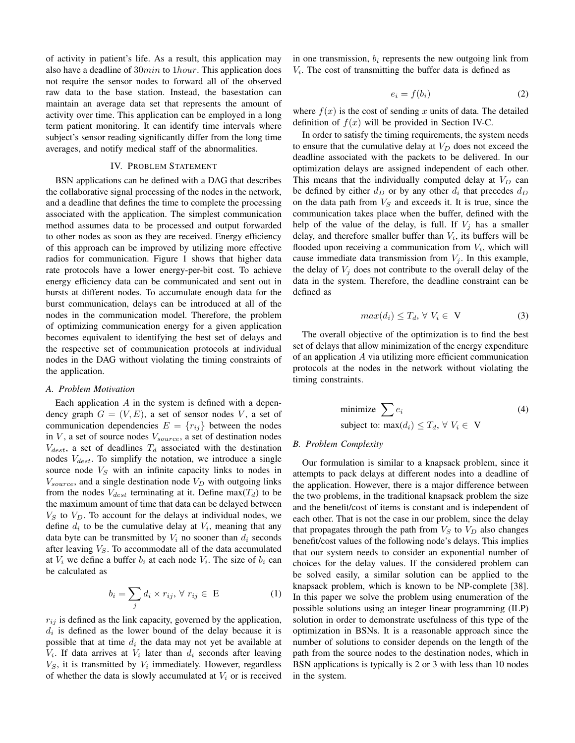of activity in patient's life. As a result, this application may also have a deadline of  $30min$  to  $1hour$ . This application does not require the sensor nodes to forward all of the observed raw data to the base station. Instead, the basestation can maintain an average data set that represents the amount of activity over time. This application can be employed in a long term patient monitoring. It can identify time intervals where subject's sensor reading significantly differ from the long time averages, and notify medical staff of the abnormalities.

#### IV. PROBLEM STATEMENT

BSN applications can be defined with a DAG that describes the collaborative signal processing of the nodes in the network, and a deadline that defines the time to complete the processing associated with the application. The simplest communication method assumes data to be processed and output forwarded to other nodes as soon as they are received. Energy efficiency of this approach can be improved by utilizing more effective radios for communication. Figure 1 shows that higher data rate protocols have a lower energy-per-bit cost. To achieve energy efficiency data can be communicated and sent out in bursts at different nodes. To accumulate enough data for the burst communication, delays can be introduced at all of the nodes in the communication model. Therefore, the problem of optimizing communication energy for a given application becomes equivalent to identifying the best set of delays and the respective set of communication protocols at individual nodes in the DAG without violating the timing constraints of the application.

## *A. Problem Motivation*

Each application  $A$  in the system is defined with a dependency graph  $G = (V, E)$ , a set of sensor nodes V, a set of communication dependencies  $E = \{r_{ij}\}\$  between the nodes in  $V$ , a set of source nodes  $V_{source}$ , a set of destination nodes  $V_{dest}$ , a set of deadlines  $T_d$  associated with the destination nodes  $V_{dest}$ . To simplify the notation, we introduce a single source node  $V_S$  with an infinite capacity links to nodes in  $V_{source}$ , and a single destination node  $V_D$  with outgoing links from the nodes  $V_{dest}$  terminating at it. Define max $(T_d)$  to be the maximum amount of time that data can be delayed between  $V<sub>S</sub>$  to  $V<sub>D</sub>$ . To account for the delays at individual nodes, we define  $d_i$  to be the cumulative delay at  $V_i$ , meaning that any data byte can be transmitted by  $V_i$  no sooner than  $d_i$  seconds after leaving  $V<sub>S</sub>$ . To accommodate all of the data accumulated at  $V_i$  we define a buffer  $b_i$  at each node  $V_i$ . The size of  $b_i$  can be calculated as

$$
b_i = \sum_j d_i \times r_{ij}, \forall r_{ij} \in E \tag{1}
$$

 $r_{ij}$  is defined as the link capacity, governed by the application,  $d_i$  is defined as the lower bound of the delay because it is possible that at time  $d_i$  the data may not yet be available at  $V_i$ . If data arrives at  $V_i$  later than  $d_i$  seconds after leaving  $V<sub>S</sub>$ , it is transmitted by  $V<sub>i</sub>$  immediately. However, regardless of whether the data is slowly accumulated at  $V_i$  or is received in one transmission,  $b_i$  represents the new outgoing link from  $V_i$ . The cost of transmitting the buffer data is defined as

$$
e_i = f(b_i) \tag{2}
$$

where  $f(x)$  is the cost of sending x units of data. The detailed definition of  $f(x)$  will be provided in Section IV-C.

In order to satisfy the timing requirements, the system needs to ensure that the cumulative delay at  $V_D$  does not exceed the deadline associated with the packets to be delivered. In our optimization delays are assigned independent of each other. This means that the individually computed delay at  $V_D$  can be defined by either  $d_D$  or by any other  $d_i$  that precedes  $d_D$ on the data path from  $V_S$  and exceeds it. It is true, since the communication takes place when the buffer, defined with the help of the value of the delay, is full. If  $V_i$  has a smaller delay, and therefore smaller buffer than  $V_i$ , its buffers will be flooded upon receiving a communication from  $V_i$ , which will cause immediate data transmission from  $V_i$ . In this example, the delay of  $V_i$  does not contribute to the overall delay of the data in the system. Therefore, the deadline constraint can be defined as

$$
max(d_i) \le T_d, \forall V_i \in V \tag{3}
$$

The overall objective of the optimization is to find the best set of delays that allow minimization of the energy expenditure of an application A via utilizing more efficient communication protocols at the nodes in the network without violating the timing constraints.

minimize 
$$
\sum e_i
$$
 (4)  
subject to: max $(d_i) \le T_d$ ,  $\forall V_i \in V$ 

## *B. Problem Complexity*

Our formulation is similar to a knapsack problem, since it attempts to pack delays at different nodes into a deadline of the application. However, there is a major difference between the two problems, in the traditional knapsack problem the size and the benefit/cost of items is constant and is independent of each other. That is not the case in our problem, since the delay that propagates through the path from  $V<sub>S</sub>$  to  $V<sub>D</sub>$  also changes benefit/cost values of the following node's delays. This implies that our system needs to consider an exponential number of choices for the delay values. If the considered problem can be solved easily, a similar solution can be applied to the knapsack problem, which is known to be NP-complete [38]. In this paper we solve the problem using enumeration of the possible solutions using an integer linear programming (ILP) solution in order to demonstrate usefulness of this type of the optimization in BSNs. It is a reasonable approach since the number of solutions to consider depends on the length of the path from the source nodes to the destination nodes, which in BSN applications is typically is 2 or 3 with less than 10 nodes in the system.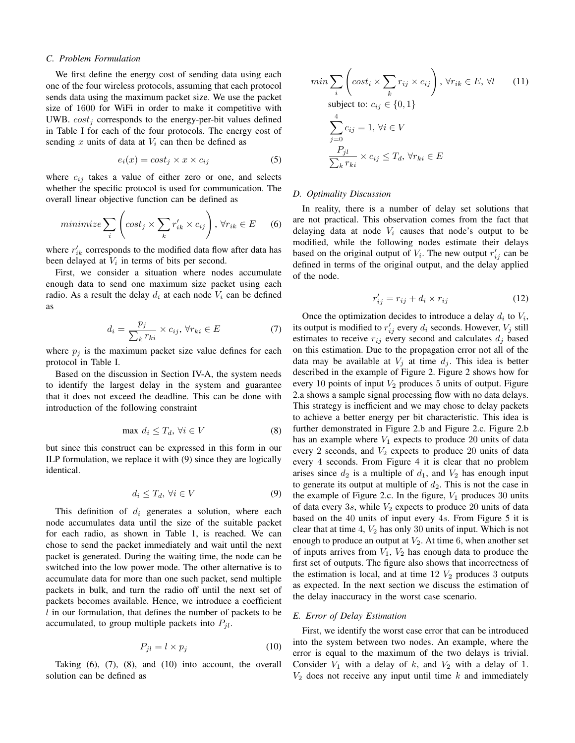#### *C. Problem Formulation*

We first define the energy cost of sending data using each one of the four wireless protocols, assuming that each protocol sends data using the maximum packet size. We use the packet size of 1600 for WiFi in order to make it competitive with UWB.  $cost_i$  corresponds to the energy-per-bit values defined in Table I for each of the four protocols. The energy cost of sending x units of data at  $V_i$  can then be defined as

$$
e_i(x) = \cos t_j \times x \times c_{ij} \tag{5}
$$

where  $c_{ij}$  takes a value of either zero or one, and selects whether the specific protocol is used for communication. The overall linear objective function can be defined as

$$
minimize \sum_{i} \left( cost_j \times \sum_{k} r'_{ik} \times c_{ij} \right), \forall r_{ik} \in E \quad (6)
$$

where  $r'_{ik}$  corresponds to the modified data flow after data has been delayed at  $V_i$  in terms of bits per second.

First, we consider a situation where nodes accumulate enough data to send one maximum size packet using each radio. As a result the delay  $d_i$  at each node  $V_i$  can be defined as

$$
d_i = \frac{p_j}{\sum_k r_{ki}} \times c_{ij}, \forall r_{ki} \in E
$$
 (7)

where  $p_j$  is the maximum packet size value defines for each protocol in Table I.

Based on the discussion in Section IV-A, the system needs to identify the largest delay in the system and guarantee that it does not exceed the deadline. This can be done with introduction of the following constraint

$$
\max d_i \le T_d, \,\forall i \in V \tag{8}
$$

but since this construct can be expressed in this form in our ILP formulation, we replace it with (9) since they are logically identical.

$$
d_i \le T_d, \,\forall i \in V \tag{9}
$$

This definition of  $d_i$  generates a solution, where each node accumulates data until the size of the suitable packet for each radio, as shown in Table 1, is reached. We can chose to send the packet immediately and wait until the next packet is generated. During the waiting time, the node can be switched into the low power mode. The other alternative is to accumulate data for more than one such packet, send multiple packets in bulk, and turn the radio off until the next set of packets becomes available. Hence, we introduce a coefficient  $l$  in our formulation, that defines the number of packets to be accumulated, to group multiple packets into  $P_{jl}$ .

$$
P_{jl} = l \times p_j \tag{10}
$$

Taking  $(6)$ ,  $(7)$ ,  $(8)$ , and  $(10)$  into account, the overall solution can be defined as

$$
\min \sum_{i} \left( \text{cost}_{i} \times \sum_{k} r_{ij} \times c_{ij} \right), \forall r_{ik} \in E, \forall l \qquad (11)
$$
\n
$$
\text{subject to: } c_{ij} \in \{0, 1\}
$$
\n
$$
\sum_{j=0}^{4} c_{ij} = 1, \forall i \in V
$$
\n
$$
\frac{P_{jl}}{\sum_{k} r_{ki}} \times c_{ij} \leq T_d, \forall r_{ki} \in E
$$

#### *D. Optimality Discussion*

In reality, there is a number of delay set solutions that are not practical. This observation comes from the fact that delaying data at node  $V_i$  causes that node's output to be modified, while the following nodes estimate their delays based on the original output of  $V_i$ . The new output  $r'_{ij}$  can be defined in terms of the original output, and the delay applied of the node.

$$
r'_{ij} = r_{ij} + d_i \times r_{ij} \tag{12}
$$

Once the optimization decides to introduce a delay  $d_i$  to  $V_i$ , its output is modified to  $r'_{ij}$  every  $d_i$  seconds. However,  $V_j$  still estimates to receive  $r_{ij}$  every second and calculates  $d_j$  based on this estimation. Due to the propagation error not all of the data may be available at  $V_j$  at time  $d_j$ . This idea is better described in the example of Figure 2. Figure 2 shows how for every 10 points of input  $V_2$  produces 5 units of output. Figure 2.a shows a sample signal processing flow with no data delays. This strategy is inefficient and we may chose to delay packets to achieve a better energy per bit characteristic. This idea is further demonstrated in Figure 2.b and Figure 2.c. Figure 2.b has an example where  $V_1$  expects to produce 20 units of data every 2 seconds, and  $V_2$  expects to produce 20 units of data every 4 seconds. From Figure 4 it is clear that no problem arises since  $d_2$  is a multiple of  $d_1$ , and  $V_2$  has enough input to generate its output at multiple of  $d_2$ . This is not the case in the example of Figure 2.c. In the figure,  $V_1$  produces 30 units of data every 3s, while  $V_2$  expects to produce 20 units of data based on the 40 units of input every 4s. From Figure 5 it is clear that at time 4,  $V_2$  has only 30 units of input. Which is not enough to produce an output at  $V_2$ . At time 6, when another set of inputs arrives from  $V_1$ ,  $V_2$  has enough data to produce the first set of outputs. The figure also shows that incorrectness of the estimation is local, and at time  $12 V_2$  produces 3 outputs as expected. In the next section we discuss the estimation of the delay inaccuracy in the worst case scenario.

#### *E. Error of Delay Estimation*

First, we identify the worst case error that can be introduced into the system between two nodes. An example, where the error is equal to the maximum of the two delays is trivial. Consider  $V_1$  with a delay of k, and  $V_2$  with a delay of 1.  $V_2$  does not receive any input until time  $k$  and immediately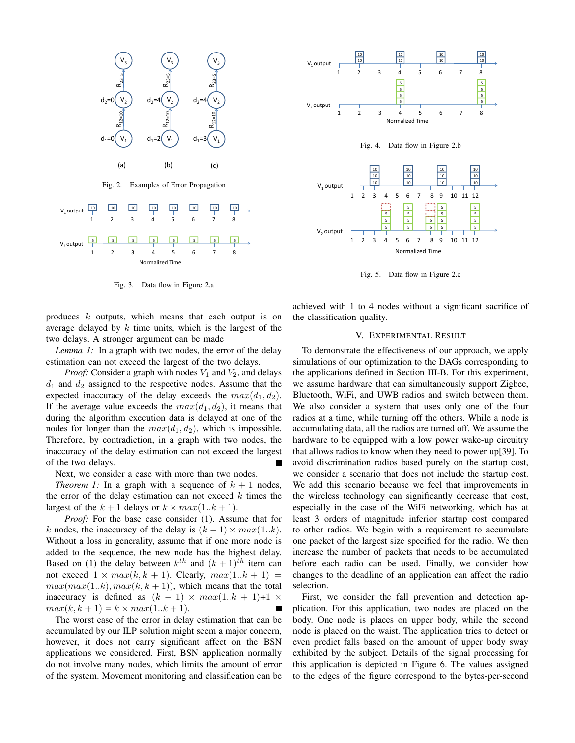

Fig. 2. Examples of Error Propagation



Fig. 3. Data flow in Figure 2.a

produces k outputs, which means that each output is on average delayed by  $k$  time units, which is the largest of the two delays. A stronger argument can be made

*Lemma 1:* In a graph with two nodes, the error of the delay estimation can not exceed the largest of the two delays.

*Proof:* Consider a graph with nodes  $V_1$  and  $V_2$ , and delays  $d_1$  and  $d_2$  assigned to the respective nodes. Assume that the expected inaccuracy of the delay exceeds the  $max(d_1, d_2)$ . If the average value exceeds the  $max(d_1, d_2)$ , it means that during the algorithm execution data is delayed at one of the nodes for longer than the  $max(d_1, d_2)$ , which is impossible. Therefore, by contradiction, in a graph with two nodes, the inaccuracy of the delay estimation can not exceed the largest of the two delays.

Next, we consider a case with more than two nodes.

*Theorem 1:* In a graph with a sequence of  $k + 1$  nodes, the error of the delay estimation can not exceed  $k$  times the largest of the  $k + 1$  delays or  $k \times max(1..k + 1)$ .

*Proof:* For the base case consider (1). Assume that for k nodes, the inaccuracy of the delay is  $(k - 1) \times max(1..k)$ . Without a loss in generality, assume that if one more node is added to the sequence, the new node has the highest delay. Based on (1) the delay between  $k^{th}$  and  $(k+1)^{th}$  item can not exceed  $1 \times max(k, k + 1)$ . Clearly,  $max(1..k + 1)$  =  $max(max(1..k), max(k, k + 1))$ , which means that the total inaccuracy is defined as  $(k - 1) \times max(1..k + 1)+1 \times$  $max(k, k + 1) = k \times max(1..k + 1).$ 

The worst case of the error in delay estimation that can be accumulated by our ILP solution might seem a major concern, however, it does not carry significant affect on the BSN applications we considered. First, BSN application normally do not involve many nodes, which limits the amount of error of the system. Movement monitoring and classification can be



Fig. 5. Data flow in Figure 2.c

achieved with 1 to 4 nodes without a significant sacrifice of the classification quality.

#### V. EXPERIMENTAL RESULT

To demonstrate the effectiveness of our approach, we apply simulations of our optimization to the DAGs corresponding to the applications defined in Section III-B. For this experiment, we assume hardware that can simultaneously support Zigbee, Bluetooth, WiFi, and UWB radios and switch between them. We also consider a system that uses only one of the four radios at a time, while turning off the others. While a node is accumulating data, all the radios are turned off. We assume the hardware to be equipped with a low power wake-up circuitry that allows radios to know when they need to power up[39]. To avoid discrimination radios based purely on the startup cost, we consider a scenario that does not include the startup cost. We add this scenario because we feel that improvements in the wireless technology can significantly decrease that cost, especially in the case of the WiFi networking, which has at least 3 orders of magnitude inferior startup cost compared to other radios. We begin with a requirement to accumulate one packet of the largest size specified for the radio. We then increase the number of packets that needs to be accumulated before each radio can be used. Finally, we consider how changes to the deadline of an application can affect the radio selection.

First, we consider the fall prevention and detection application. For this application, two nodes are placed on the body. One node is places on upper body, while the second node is placed on the waist. The application tries to detect or even predict falls based on the amount of upper body sway exhibited by the subject. Details of the signal processing for this application is depicted in Figure 6. The values assigned to the edges of the figure correspond to the bytes-per-second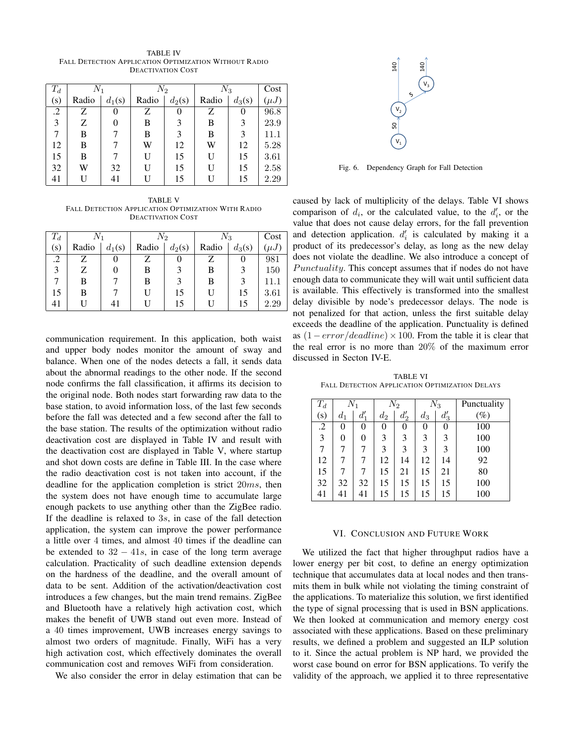TABLE IV FALL DETECTION APPLICATION OPTIMIZATION WITHOUT RADIO DEACTIVATION COST

| $T_d$   | $N_1$ |          | $\scriptstyle N_2$ |          | $\scriptstyle N_3$ |          | Cost      |  |
|---------|-------|----------|--------------------|----------|--------------------|----------|-----------|--|
| (s)     | Radio | $d_1(s)$ | Radio              | $d_2(s)$ | Radio              | $d_3(s)$ | $(\mu J)$ |  |
| $\cdot$ | Z     | 0        | Z                  |          | Z                  | $\Omega$ | 96.8      |  |
| 3       | Ζ     | 0        | В                  | 3        | B                  | 3        | 23.9      |  |
|         | B     |          | В                  | 3        | В                  | 3        | 11.1      |  |
| 12      | B     |          | W                  | 12       | W                  | 12       | 5.28      |  |
| 15      | B     |          | U                  | 15       | U                  | 15       | 3.61      |  |
| 32      | W     | 32       | U                  | 15       | U                  | 15       | 2.58      |  |
| 41      | U     | 41       | H                  | 15       | Ħ                  | 15       | 2.29      |  |

TABLE V FALL DETECTION APPLICATION OPTIMIZATION WITH RADIO DEACTIVATION COST

| $T_d$ | $N_{1}$ |          | $N_2$ |          | $N_3$ |          | Cost      |
|-------|---------|----------|-------|----------|-------|----------|-----------|
| (s)   | Radio   | $d_1(s)$ | Radio | $d_2(s)$ | Radio | $d_3(s)$ | $(\mu J)$ |
| .2    | Z       |          | Z     |          | Z     |          | 981       |
| 3     | Ζ       |          | B     |          | В     |          | 150       |
|       | В       |          | В     | 3        | В     |          | 11.1      |
| 15    | В       |          | U     | 15       | U     | 15       | 3.61      |
| 41    |         | 41       |       | 15       |       | 15       | 2.29      |

communication requirement. In this application, both waist and upper body nodes monitor the amount of sway and balance. When one of the nodes detects a fall, it sends data about the abnormal readings to the other node. If the second node confirms the fall classification, it affirms its decision to the original node. Both nodes start forwarding raw data to the base station, to avoid information loss, of the last few seconds before the fall was detected and a few second after the fall to the base station. The results of the optimization without radio deactivation cost are displayed in Table IV and result with the deactivation cost are displayed in Table V, where startup and shot down costs are define in Table III. In the case where the radio deactivation cost is not taken into account, if the deadline for the application completion is strict 20ms, then the system does not have enough time to accumulate large enough packets to use anything other than the ZigBee radio. If the deadline is relaxed to 3s, in case of the fall detection application, the system can improve the power performance a little over 4 times, and almost 40 times if the deadline can be extended to  $32 - 41s$ , in case of the long term average calculation. Practicality of such deadline extension depends on the hardness of the deadline, and the overall amount of data to be sent. Addition of the activation/deactivation cost introduces a few changes, but the main trend remains. ZigBee and Bluetooth have a relatively high activation cost, which makes the benefit of UWB stand out even more. Instead of a 40 times improvement, UWB increases energy savings to almost two orders of magnitude. Finally, WiFi has a very high activation cost, which effectively dominates the overall communication cost and removes WiFi from consideration.

We also consider the error in delay estimation that can be



Fig. 6. Dependency Graph for Fall Detection

caused by lack of multiplicity of the delays. Table VI shows comparison of  $d_i$ , or the calculated value, to the  $d'_i$ , or the value that does not cause delay errors, for the fall prevention and detection application.  $d_i$  is calculated by making it a product of its predecessor's delay, as long as the new delay does not violate the deadline. We also introduce a concept of  $Punctuality$ . This concept assumes that if nodes do not have enough data to communicate they will wait until sufficient data is available. This effectively is transformed into the smallest delay divisible by node's predecessor delays. The node is not penalized for that action, unless the first suitable delay exceeds the deadline of the application. Punctuality is defined as  $(1 - error/deadline) \times 100$ . From the table it is clear that the real error is no more than 20% of the maximum error discussed in Secton IV-E.

TABLE VI FALL DETECTION APPLICATION OPTIMIZATION DELAYS

| $T_d$ | $\scriptstyle N_1$ |        |       | $N_2$  | $N_3$ |        | Punctuality |
|-------|--------------------|--------|-------|--------|-------|--------|-------------|
| (s)   | $d_1$              | $d_1'$ | $d_2$ | $d_2'$ | $d_3$ | $d'_3$ | $(\%)$      |
| .2    | 0                  | 0      | 0     | 0      | 0     |        | 100         |
| 3     | 0                  | 0      | 3     | 3      | 3     | 3      | 100         |
| 7     |                    | 7      | 3     | 3      | 3     | 3      | 100         |
| 12    | 7                  | 7      | 12    | 14     | 12    | 14     | 92          |
| 15    | 7                  | 7      | 15    | 21     | 15    | 21     | 80          |
| 32    | 32                 | 32     | 15    | 15     | 15    | 15     | 100         |
| 41    | 41                 | 41     | 15    | 15     | 15    | 15     | 100         |

## VI. CONCLUSION AND FUTURE WORK

We utilized the fact that higher throughput radios have a lower energy per bit cost, to define an energy optimization technique that accumulates data at local nodes and then transmits them in bulk while not violating the timing constraint of the applications. To materialize this solution, we first identified the type of signal processing that is used in BSN applications. We then looked at communication and memory energy cost associated with these applications. Based on these preliminary results, we defined a problem and suggested an ILP solution to it. Since the actual problem is NP hard, we provided the worst case bound on error for BSN applications. To verify the validity of the approach, we applied it to three representative